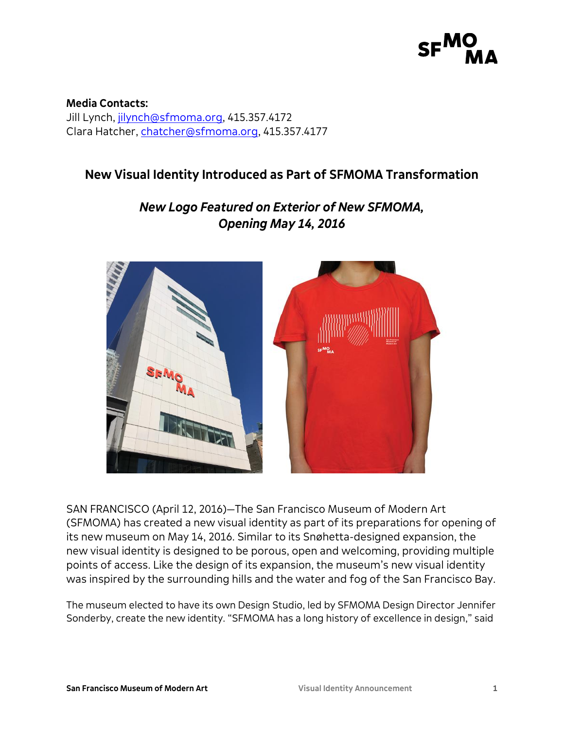# $SF<sup>1</sup>$

**Media Contacts:** Jill Lynch, [jilynch@sfmoma.org,](mailto:jilynch@sfmoma.org) 415.357.4172 Clara Hatcher, [chatcher@sfmoma.org,](mailto:chatcher@sfmoma.org) 415.357.4177

## **New Visual Identity Introduced as Part of SFMOMA Transformation**

## *New Logo Featured on Exterior of New SFMOMA, Opening May 14, 2016*



SAN FRANCISCO (April 12, 2016)—The San Francisco Museum of Modern Art (SFMOMA) has created a new visual identity as part of its preparations for opening of its new museum on May 14, 2016. Similar to its Snøhetta-designed expansion, the new visual identity is designed to be porous, open and welcoming, providing multiple points of access. Like the design of its expansion, the museum's new visual identity was inspired by the surrounding hills and the water and fog of the San Francisco Bay.

The museum elected to have its own Design Studio, led by SFMOMA Design Director Jennifer Sonderby, create the new identity. "SFMOMA has a long history of excellence in design," said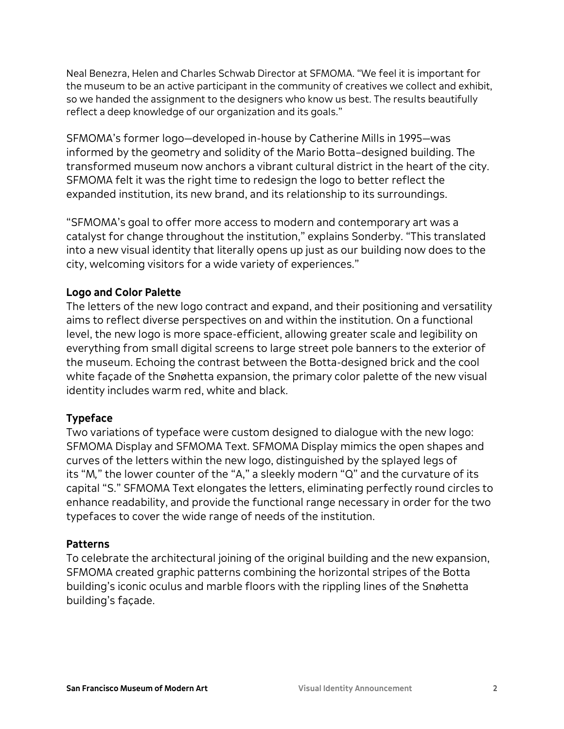Neal Benezra, Helen and Charles Schwab Director at SFMOMA. "We feel it is important for the museum to be an active participant in the community of creatives we collect and exhibit, so we handed the assignment to the designers who know us best. The results beautifully reflect a deep knowledge of our organization and its goals."

SFMOMA's former logo—developed in-house by Catherine Mills in 1995—was informed by the geometry and solidity of the Mario Botta–designed building. The transformed museum now anchors a vibrant cultural district in the heart of the city. SFMOMA felt it was the right time to redesign the logo to better reflect the expanded institution, its new brand, and its relationship to its surroundings.

"SFMOMA's goal to offer more access to modern and contemporary art was a catalyst for change throughout the institution," explains Sonderby. "This translated into a new visual identity that literally opens up just as our building now does to the city, welcoming visitors for a wide variety of experiences."

### **Logo and Color Palette**

The letters of the new logo contract and expand, and their positioning and versatility aims to reflect diverse perspectives on and within the institution. On a functional level, the new logo is more space-efficient, allowing greater scale and legibility on everything from small digital screens to large street pole banners to the exterior of the museum. Echoing the contrast between the Botta-designed brick and the cool white façade of the Snøhetta expansion, the primary color palette of the new visual identity includes warm red, white and black.

#### **Typeface**

Two variations of typeface were custom designed to dialogue with the new logo: SFMOMA Display and SFMOMA Text. SFMOMA Display mimics the open shapes and curves of the letters within the new logo, distinguished by the splayed legs of its "M*,*" the lower counter of the "A," a sleekly modern "Q" and the curvature of its capital "S." SFMOMA Text elongates the letters, eliminating perfectly round circles to enhance readability, and provide the functional range necessary in order for the two typefaces to cover the wide range of needs of the institution.

#### **Patterns**

To celebrate the architectural joining of the original building and the new expansion, SFMOMA created graphic patterns combining the horizontal stripes of the Botta building's iconic oculus and marble floors with the rippling lines of the Sn*ø*hetta building's façade.